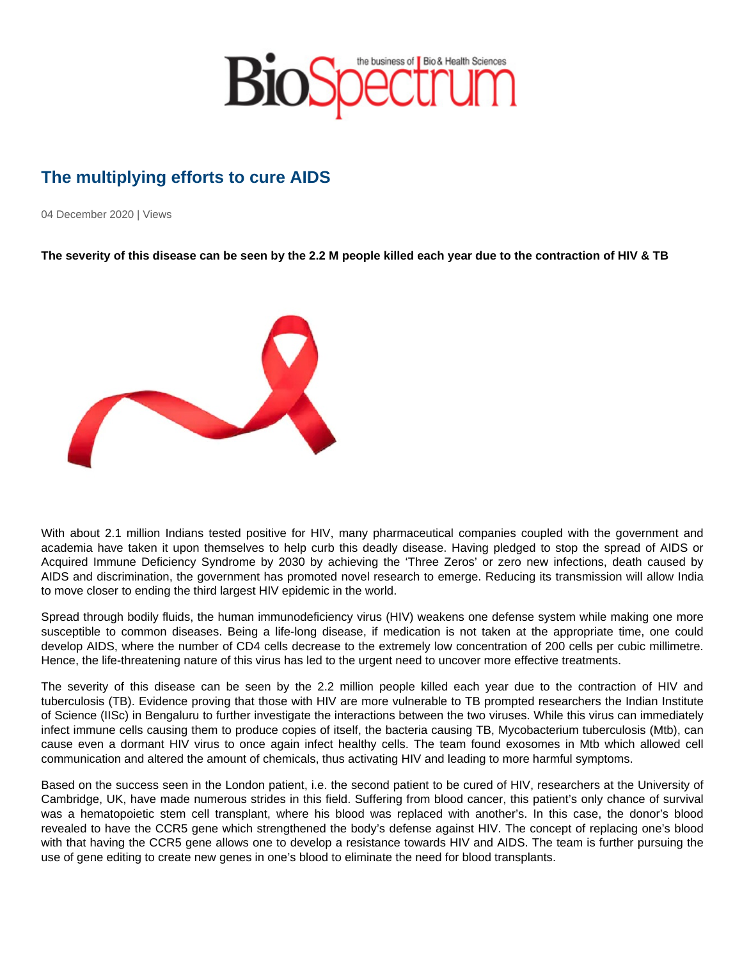## The multiplying efforts to cure AIDS

04 December 2020 | Views

The severity of this disease can be seen by the 2.2 M people killed each year due to the contraction of HIV & TB

With about 2.1 million Indians tested positive for HIV, many pharmaceutical companies coupled with the government and academia have taken it upon themselves to help curb this deadly disease. Having pledged to stop the spread of AIDS or Acquired Immune Deficiency Syndrome by 2030 by achieving the 'Three Zeros' or zero new infections, death caused by AIDS and discrimination, the government has promoted novel research to emerge. Reducing its transmission will allow India to move closer to ending the third largest HIV epidemic in the world.

Spread through bodily fluids, the human immunodeficiency virus (HIV) weakens one defense system while making one more susceptible to common diseases. Being a life-long disease, if medication is not taken at the appropriate time, one could develop AIDS, where the number of CD4 cells decrease to the extremely low concentration of 200 cells per cubic millimetre. Hence, the life-threatening nature of this virus has led to the urgent need to uncover more effective treatments.

The severity of this disease can be seen by the 2.2 million people killed each year due to the contraction of HIV and tuberculosis (TB). Evidence proving that those with HIV are more vulnerable to TB prompted researchers the Indian Institute of Science (IISc) in Bengaluru to further investigate the interactions between the two viruses. While this virus can immediately infect immune cells causing them to produce copies of itself, the bacteria causing TB, Mycobacterium tuberculosis (Mtb), can cause even a dormant HIV virus to once again infect healthy cells. The team found exosomes in Mtb which allowed cell communication and altered the amount of chemicals, thus activating HIV and leading to more harmful symptoms.

Based on the success seen in the London patient, i.e. the second patient to be cured of HIV, researchers at the University of Cambridge, UK, have made numerous strides in this field. Suffering from blood cancer, this patient's only chance of survival was a hematopoietic stem cell transplant, where his blood was replaced with another's. In this case, the donor's blood revealed to have the CCR5 gene which strengthened the body's defense against HIV. The concept of replacing one's blood with that having the CCR5 gene allows one to develop a resistance towards HIV and AIDS. The team is further pursuing the use of gene editing to create new genes in one's blood to eliminate the need for blood transplants.